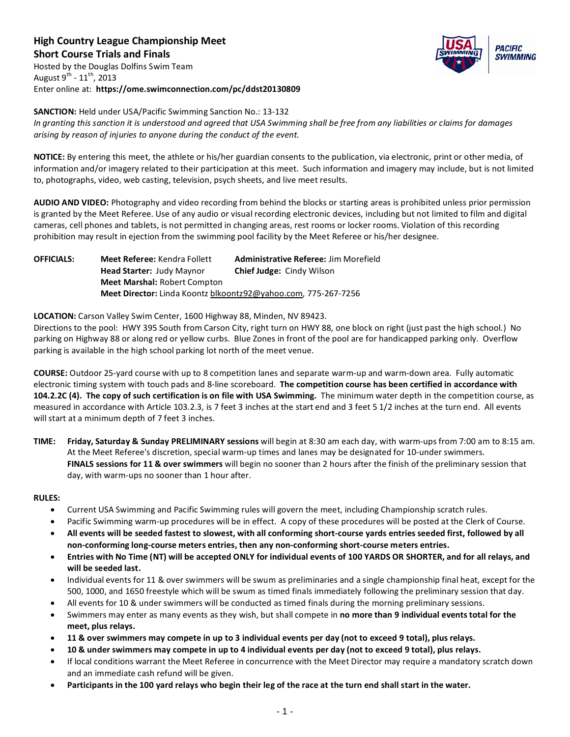**High Country League Championship Meet Short Course Trials and Finals** Hosted by the Douglas Dolfins Swim Team August  $9^{th}$  -  $11^{th}$ , 2013

Enter online at: **https://ome.swimconnection.com/pc/ddst20130809**



**SANCTION:** Held under USA/Pacific Swimming Sanction No.: 13-132 *In granting this sanction it is understood and agreed that USA Swimming shall be free from any liabilities or claims for damages arising by reason of injuries to anyone during the conduct of the event.*

**NOTICE:** By entering this meet, the athlete or his/her guardian consents to the publication, via electronic, print or other media, of information and/or imagery related to their participation at this meet. Such information and imagery may include, but is not limited to, photographs, video, web casting, television, psych sheets, and live meet results.

**AUDIO AND VIDEO:** Photography and video recording from behind the blocks or starting areas is prohibited unless prior permission is granted by the Meet Referee. Use of any audio or visual recording electronic devices, including but not limited to film and digital cameras, cell phones and tablets, is not permitted in changing areas, rest rooms or locker rooms. Violation of this recording prohibition may result in ejection from the swimming pool facility by the Meet Referee or his/her designee.

**OFFICIALS: Meet Referee:** Kendra Follett **Administrative Referee:** Jim Morefield **Head Starter:** Judy Maynor **Chief Judge:** Cindy Wilson **Meet Marshal:** Robert Compton **Meet Director:** Linda Koontz blkoontz92@yahoo.com, 775-267-7256

**LOCATION:** Carson Valley Swim Center, 1600 Highway 88, Minden, NV 89423.

Directions to the pool: HWY 395 South from Carson City, right turn on HWY 88, one block on right (just past the high school.) No parking on Highway 88 or along red or yellow curbs. Blue Zones in front of the pool are for handicapped parking only. Overflow parking is available in the high school parking lot north of the meet venue.

**COURSE:** Outdoor 25-yard course with up to 8 competition lanes and separate warm-up and warm-down area. Fully automatic electronic timing system with touch pads and 8-line scoreboard. **The competition course has been certified in accordance with 104.2.2C (4). The copy of such certification is on file with USA Swimming.** The minimum water depth in the competition course, as measured in accordance with Article 103.2.3, is 7 feet 3 inches at the start end and 3 feet 5 1/2 inches at the turn end. All events will start at a minimum depth of 7 feet 3 inches.

**TIME: Friday, Saturday & Sunday PRELIMINARY sessions** will begin at 8:30 am each day, with warm-ups from 7:00 am to 8:15 am. At the Meet Referee's discretion, special warm-up times and lanes may be designated for 10-under swimmers. **FINALS sessions for 11 & over swimmers** will begin no sooner than 2 hours after the finish of the preliminary session that day, with warm-ups no sooner than 1 hour after.

# **RULES:**

- Current USA Swimming and Pacific Swimming rules will govern the meet, including Championship scratch rules.
- Pacific Swimming warm-up procedures will be in effect. A copy of these procedures will be posted at the Clerk of Course.
- **All events will be seeded fastest to slowest, with all conforming short-course yards entries seeded first, followed by all non-conforming long-course meters entries, then any non-conforming short-course meters entries.**
- **Entries with No Time (NT) will be accepted ONLY for individual events of 100 YARDS OR SHORTER, and for all relays, and will be seeded last.**
- Individual events for 11 & over swimmers will be swum as preliminaries and a single championship final heat, except for the 500, 1000, and 1650 freestyle which will be swum as timed finals immediately following the preliminary session that day.
- All events for 10 & under swimmers will be conducted as timed finals during the morning preliminary sessions.
- Swimmers may enter as many events as they wish, but shall compete in **no more than 9 individual events total for the meet, plus relays.**
- **11 & over swimmers may compete in up to 3 individual events per day (not to exceed 9 total), plus relays.**
- **10 & under swimmers may compete in up to 4 individual events per day (not to exceed 9 total), plus relays.**
- If local conditions warrant the Meet Referee in concurrence with the Meet Director may require a mandatory scratch down and an immediate cash refund will be given.
- **Participants in the 100 yard relays who begin their leg of the race at the turn end shall start in the water.**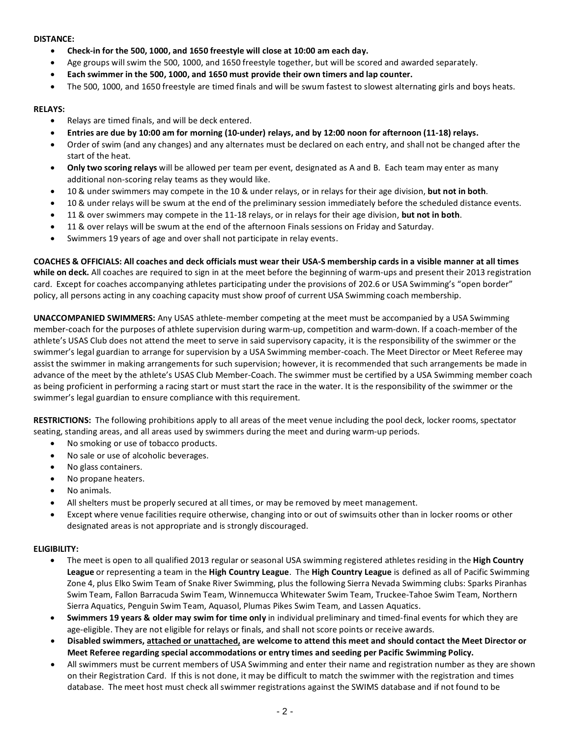#### **DISTANCE:**

- **Check-in for the 500, 1000, and 1650 freestyle will close at 10:00 am each day.**
- Age groups will swim the 500, 1000, and 1650 freestyle together, but will be scored and awarded separately.
- **Each swimmer in the 500, 1000, and 1650 must provide their own timers and lap counter.**
- The 500, 1000, and 1650 freestyle are timed finals and will be swum fastest to slowest alternating girls and boys heats.

# **RELAYS:**

- Relays are timed finals, and will be deck entered.
- **Entries are due by 10:00 am for morning (10-under) relays, and by 12:00 noon for afternoon (11-18) relays.**
- Order of swim (and any changes) and any alternates must be declared on each entry, and shall not be changed after the start of the heat.
- **Only two scoring relays** will be allowed per team per event, designated as A and B. Each team may enter as many additional non-scoring relay teams as they would like.
- 10 & under swimmers may compete in the 10 & under relays, or in relays for their age division, **but not in both**.
- 10 & under relays will be swum at the end of the preliminary session immediately before the scheduled distance events.
- 11 & over swimmers may compete in the 11-18 relays, or in relays for their age division, **but not in both**.
- 11 & over relays will be swum at the end of the afternoon Finals sessions on Friday and Saturday.
- Swimmers 19 years of age and over shall not participate in relay events.

**COACHES & OFFICIALS: All coaches and deck officials must wear their USA-S membership cards in a visible manner at all times while on deck.** All coaches are required to sign in at the meet before the beginning of warm-ups and present their 2013 registration card. Except for coaches accompanying athletes participating under the provisions of 202.6 or USA Swimming's "open border" policy, all persons acting in any coaching capacity must show proof of current USA Swimming coach membership.

**UNACCOMPANIED SWIMMERS:** Any USAS athlete-member competing at the meet must be accompanied by a USA Swimming member-coach for the purposes of athlete supervision during warm-up, competition and warm-down. If a coach-member of the athlete's USAS Club does not attend the meet to serve in said supervisory capacity, it is the responsibility of the swimmer or the swimmer's legal guardian to arrange for supervision by a USA Swimming member-coach. The Meet Director or Meet Referee may assist the swimmer in making arrangements for such supervision; however, it is recommended that such arrangements be made in advance of the meet by the athlete's USAS Club Member-Coach. The swimmer must be certified by a USA Swimming member coach as being proficient in performing a racing start or must start the race in the water. It is the responsibility of the swimmer or the swimmer's legal guardian to ensure compliance with this requirement.

**RESTRICTIONS:** The following prohibitions apply to all areas of the meet venue including the pool deck, locker rooms, spectator seating, standing areas, and all areas used by swimmers during the meet and during warm-up periods.

- No smoking or use of tobacco products.
- No sale or use of alcoholic beverages.
- No glass containers.
- No propane heaters.
- No animals.
- All shelters must be properly secured at all times, or may be removed by meet management.
- Except where venue facilities require otherwise, changing into or out of swimsuits other than in locker rooms or other designated areas is not appropriate and is strongly discouraged.

# **ELIGIBILITY:**

- The meet is open to all qualified 2013 regular or seasonal USA swimming registered athletes residing in the **High Country League** or representing a team in the **High Country League**. The **High Country League** is defined as all of Pacific Swimming Zone 4, plus Elko Swim Team of Snake River Swimming, plus the following Sierra Nevada Swimming clubs: Sparks Piranhas Swim Team, Fallon Barracuda Swim Team, Winnemucca Whitewater Swim Team, Truckee-Tahoe Swim Team, Northern Sierra Aquatics, Penguin Swim Team, Aquasol, Plumas Pikes Swim Team, and Lassen Aquatics.
- **Swimmers 19 years & older may swim for time only** in individual preliminary and timed-final events for which they are age-eligible. They are not eligible for relays or finals, and shall not score points or receive awards.
- **Disabled swimmers, attached or unattached, are welcome to attend this meet and should contact the Meet Director or Meet Referee regarding special accommodations or entry times and seeding per Pacific Swimming Policy.**
- All swimmers must be current members of USA Swimming and enter their name and registration number as they are shown on their Registration Card. If this is not done, it may be difficult to match the swimmer with the registration and times database. The meet host must check all swimmer registrations against the SWIMS database and if not found to be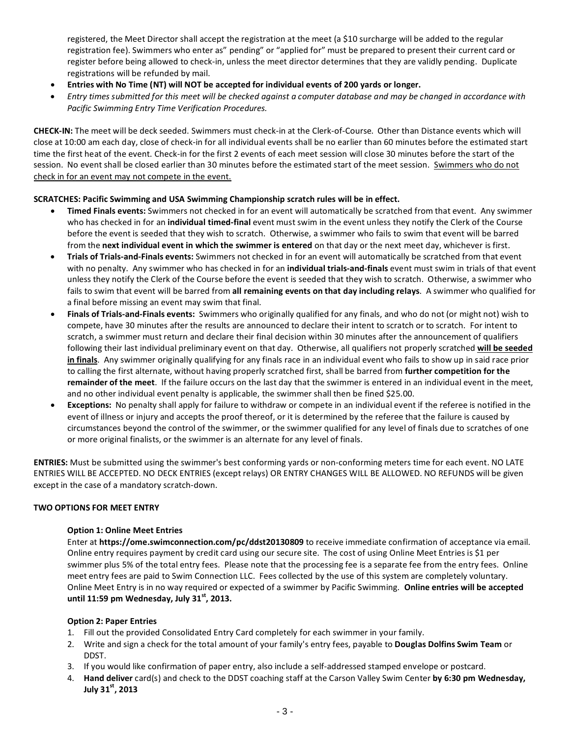registered, the Meet Director shall accept the registration at the meet (a \$10 surcharge will be added to the regular registration fee). Swimmers who enter as" pending" or "applied for" must be prepared to present their current card or register before being allowed to check-in, unless the meet director determines that they are validly pending. Duplicate registrations will be refunded by mail.

- **Entries with No Time (NT) will NOT be accepted for individual events of 200 yards or longer.**
- *Entry times submitted for this meet will be checked against a computer database and may be changed in accordance with Pacific Swimming Entry Time Verification Procedures.*

**CHECK-IN:** The meet will be deck seeded. Swimmers must check-in at the Clerk-of-Course. Other than Distance events which will close at 10:00 am each day, close of check-in for all individual events shall be no earlier than 60 minutes before the estimated start time the first heat of the event. Check-in for the first 2 events of each meet session will close 30 minutes before the start of the session. No event shall be closed earlier than 30 minutes before the estimated start of the meet session. Swimmers who do not check in for an event may not compete in the event.

# **SCRATCHES: Pacific Swimming and USA Swimming Championship scratch rules will be in effect.**

- **Timed Finals events:** Swimmers not checked in for an event will automatically be scratched from that event. Any swimmer who has checked in for an **individual timed-final** event must swim in the event unless they notify the Clerk of the Course before the event is seeded that they wish to scratch. Otherwise, a swimmer who fails to swim that event will be barred from the **next individual event in which the swimmer is entered** on that day or the next meet day, whichever is first.
- **Trials of Trials-and-Finals events:** Swimmers not checked in for an event will automatically be scratched from that event with no penalty. Any swimmer who has checked in for an **individual trials-and-finals** event must swim in trials of that event unless they notify the Clerk of the Course before the event is seeded that they wish to scratch. Otherwise, a swimmer who fails to swim that event will be barred from **all remaining events on that day including relays**. A swimmer who qualified for a final before missing an event may swim that final.
- **Finals of Trials-and-Finals events:** Swimmers who originally qualified for any finals, and who do not (or might not) wish to compete, have 30 minutes after the results are announced to declare their intent to scratch or to scratch. For intent to scratch, a swimmer must return and declare their final decision within 30 minutes after the announcement of qualifiers following their last individual preliminary event on that day. Otherwise, all qualifiers not properly scratched **will be seeded in finals**. Any swimmer originally qualifying for any finals race in an individual event who fails to show up in said race prior to calling the first alternate, without having properly scratched first, shall be barred from **further competition for the remainder of the meet**. If the failure occurs on the last day that the swimmer is entered in an individual event in the meet, and no other individual event penalty is applicable, the swimmer shall then be fined \$25.00.
- **Exceptions:** No penalty shall apply for failure to withdraw or compete in an individual event if the referee is notified in the event of illness or injury and accepts the proof thereof, or it is determined by the referee that the failure is caused by circumstances beyond the control of the swimmer, or the swimmer qualified for any level of finals due to scratches of one or more original finalists, or the swimmer is an alternate for any level of finals.

**ENTRIES:** Must be submitted using the swimmer's best conforming yards or non-conforming meters time for each event. NO LATE ENTRIES WILL BE ACCEPTED. NO DECK ENTRIES (except relays) OR ENTRY CHANGES WILL BE ALLOWED. NO REFUNDS will be given except in the case of a mandatory scratch-down.

# **TWO OPTIONS FOR MEET ENTRY**

# **Option 1: Online Meet Entries**

Enter at **https://ome.swimconnection.com/pc/ddst20130809** to receive immediate confirmation of acceptance via email. Online entry requires payment by credit card using our secure site. The cost of using Online Meet Entries is \$1 per swimmer plus 5% of the total entry fees. Please note that the processing fee is a separate fee from the entry fees. Online meet entry fees are paid to Swim Connection LLC. Fees collected by the use of this system are completely voluntary. Online Meet Entry is in no way required or expected of a swimmer by Pacific Swimming. **Online entries will be accepted until 11:59 pm Wednesday, July 31st, 2013.**

# **Option 2: Paper Entries**

- 1. Fill out the provided Consolidated Entry Card completely for each swimmer in your family.
- 2. Write and sign a check for the total amount of your family's entry fees, payable to **Douglas Dolfins Swim Team** or DDST.
- 3. If you would like confirmation of paper entry, also include a self-addressed stamped envelope or postcard.
- 4. **Hand deliver** card(s) and check to the DDST coaching staff at the Carson Valley Swim Center **by 6:30 pm Wednesday, July 31st, 2013**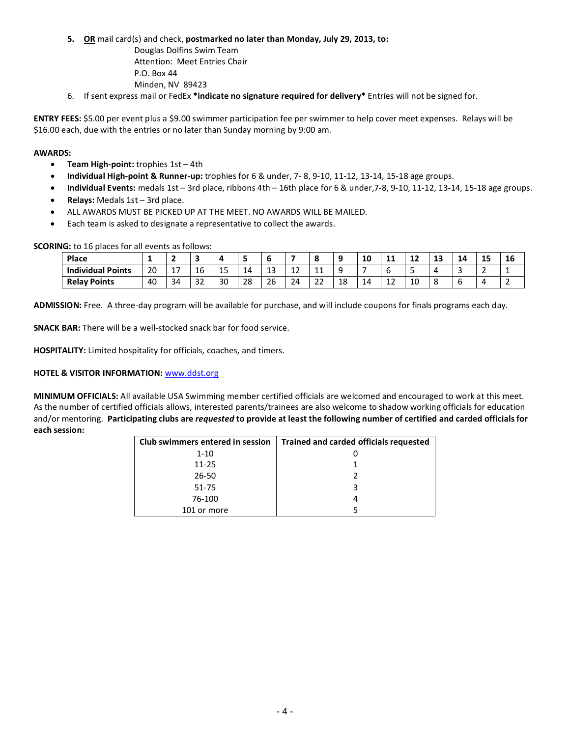**5. OR** mail card(s) and check, **postmarked no later than Monday, July 29, 2013, to:**

Douglas Dolfins Swim Team Attention: Meet Entries Chair P.O. Box 44 Minden, NV 89423

6. If sent express mail or FedEx **\*indicate no signature required for delivery\*** Entries will not be signed for.

**ENTRY FEES:** \$5.00 per event plus a \$9.00 swimmer participation fee per swimmer to help cover meet expenses. Relays will be \$16.00 each, due with the entries or no later than Sunday morning by 9:00 am.

# **AWARDS:**

- **Team High-point:** trophies 1st 4th
- **Individual High-point & Runner-up:** trophies for 6 & under, 7- 8, 9-10, 11-12, 13-14, 15-18 age groups.
- **Individual Events:** medals 1st 3rd place, ribbons 4th 16th place for 6 & under,7-8, 9-10, 11-12, 13-14, 15-18 age groups.
- **Relays:** Medals 1st 3rd place.
- ALL AWARDS MUST BE PICKED UP AT THE MEET. NO AWARDS WILL BE MAILED.
- Each team is asked to designate a representative to collect the awards.

| <b>Place</b>             |    |                             |              |    |    |         |                                |             |    | C<br>τu | . .<br>. .   | - -<br>--    | . .<br>-- | 14 | 15<br>ᆠ        | 16 |
|--------------------------|----|-----------------------------|--------------|----|----|---------|--------------------------------|-------------|----|---------|--------------|--------------|-----------|----|----------------|----|
| <b>Individual Points</b> | 20 | $\rightarrow$<br><u>، ،</u> | 16           | 15 | 14 | ່າ<br>ᅩ | $\overline{\phantom{0}}$<br>-- | ᆠ           |    |         |              | -            | ⊶         | ٠  |                |    |
| <b>Relay Points</b>      | 40 | 34                          | $\sim$<br>32 | 30 | 28 | 26      | 24<br>-                        | $\sim$<br>ے | 18 | 14      | $\sim$<br>ᅩᄼ | $\sim$<br>πu | c         | ັ  | $\overline{ }$ |    |

**ADMISSION:** Free. A three-day program will be available for purchase, and will include coupons for finals programs each day.

**SNACK BAR:** There will be a well-stocked snack bar for food service.

**HOSPITALITY:** Limited hospitality for officials, coaches, and timers.

#### **HOTEL & VISITOR INFORMATION:** [www.ddst.org](http://www.ddst.org/)

**MINIMUM OFFICIALS:** All available USA Swimming member certified officials are welcomed and encouraged to work at this meet. As the number of certified officials allows, interested parents/trainees are also welcome to shadow working officials for education and/or mentoring. **Participating clubs are** *requested* **to provide at least the following number of certified and carded officials for each session:**

| Club swimmers entered in session | Trained and carded officials requested |
|----------------------------------|----------------------------------------|
| $1 - 10$                         |                                        |
| $11 - 25$                        |                                        |
| $26 - 50$                        |                                        |
| 51-75                            | ર                                      |
| 76-100                           |                                        |
| 101 or more                      |                                        |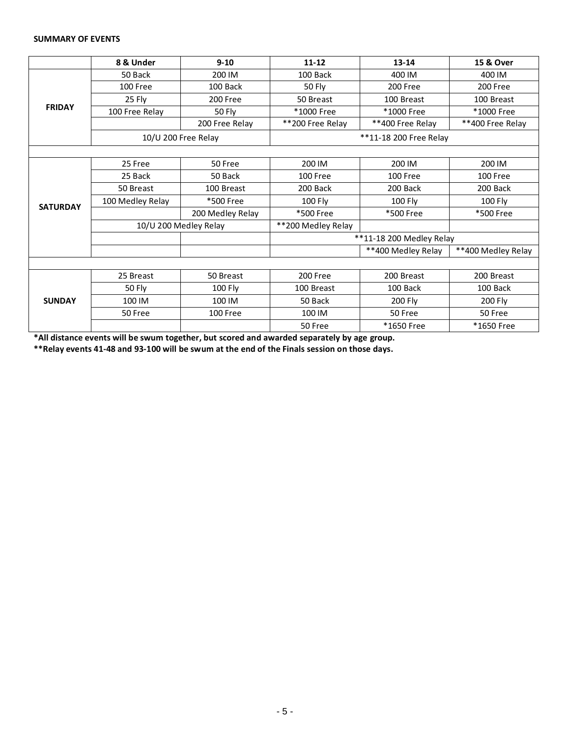#### **SUMMARY OF EVENTS**

|                                                   | 8 & Under        | $9 - 10$              | $11 - 12$                | $13 - 14$          | 15 & Over          |  |  |  |  |  |
|---------------------------------------------------|------------------|-----------------------|--------------------------|--------------------|--------------------|--|--|--|--|--|
|                                                   | 50 Back          | 200 IM                | 100 Back                 | 400 IM             | 400 IM             |  |  |  |  |  |
|                                                   | 100 Free         | 100 Back              | 50 Fly                   | 200 Free           | 200 Free           |  |  |  |  |  |
|                                                   | 25 Fly           | 200 Free              | 50 Breast                | 100 Breast         | 100 Breast         |  |  |  |  |  |
|                                                   | 100 Free Relay   | 50 Fly                | *1000 Free               | *1000 Free         | *1000 Free         |  |  |  |  |  |
|                                                   |                  | 200 Free Relay        | **200 Free Relay         | **400 Free Relay   | **400 Free Relay   |  |  |  |  |  |
|                                                   |                  | 10/U 200 Free Relay   | **11-18 200 Free Relay   |                    |                    |  |  |  |  |  |
|                                                   |                  |                       |                          |                    |                    |  |  |  |  |  |
|                                                   | 25 Free          | 50 Free               | 200 IM                   | 200 IM             | 200 IM             |  |  |  |  |  |
|                                                   | 25 Back          | 50 Back               | 100 Free                 | 100 Free           | 100 Free           |  |  |  |  |  |
|                                                   | 50 Breast        | 100 Breast            | 200 Back                 | 200 Back           | 200 Back           |  |  |  |  |  |
|                                                   | 100 Medley Relay | *500 Free             | 100 Fly                  | 100 Fly            | 100 Fly            |  |  |  |  |  |
|                                                   |                  | 200 Medley Relay      | *500 Free                | *500 Free          | *500 Free          |  |  |  |  |  |
|                                                   |                  | 10/U 200 Medley Relay | **200 Medley Relay       |                    |                    |  |  |  |  |  |
|                                                   |                  |                       | **11-18 200 Medley Relay |                    |                    |  |  |  |  |  |
|                                                   |                  |                       |                          | **400 Medley Relay | **400 Medley Relay |  |  |  |  |  |
|                                                   |                  |                       |                          |                    |                    |  |  |  |  |  |
|                                                   | 25 Breast        | 50 Breast             | 200 Free                 | 200 Breast         | 200 Breast         |  |  |  |  |  |
| <b>FRIDAY</b><br><b>SATURDAY</b><br><b>SUNDAY</b> | 50 Fly           | 100 Fly               | 100 Breast               | 100 Back           | 100 Back           |  |  |  |  |  |
|                                                   | 100 IM           | 100 IM                | 50 Back                  | 200 Fly            | 200 Fly            |  |  |  |  |  |
|                                                   | 50 Free          | 100 Free              | 100 IM                   | 50 Free            | 50 Free            |  |  |  |  |  |
|                                                   |                  |                       | 50 Free                  | *1650 Free         | *1650 Free         |  |  |  |  |  |

**\*All distance events will be swum together, but scored and awarded separately by age group.**

**\*\*Relay events 41-48 and 93-100 will be swum at the end of the Finals session on those days.**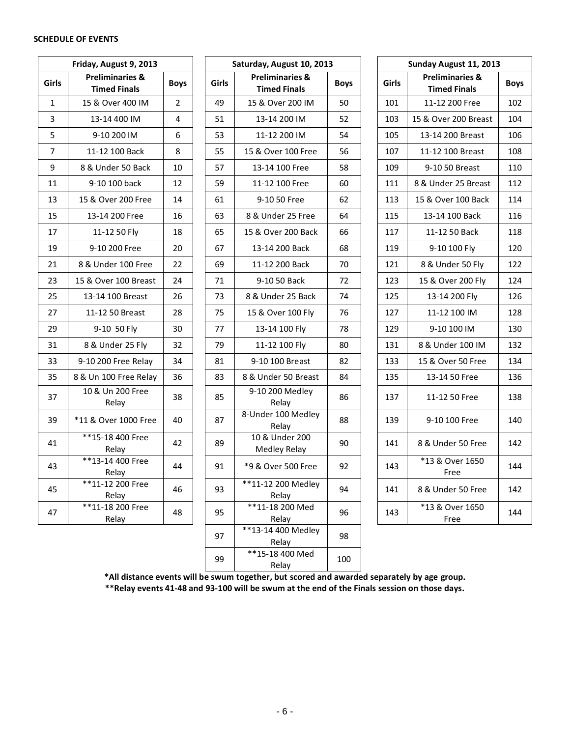#### **SCHEDULE OF EVENTS**

|       | Friday, August 9, 2013                            |                | Saturday, August 10, 20 |                                                   |
|-------|---------------------------------------------------|----------------|-------------------------|---------------------------------------------------|
| Girls | <b>Preliminaries &amp;</b><br><b>Timed Finals</b> | <b>Boys</b>    | Girls                   | <b>Preliminaries &amp;</b><br><b>Timed Finals</b> |
| 1     | 15 & Over 400 IM                                  | $\overline{2}$ | 49                      | 15 & Over 200 IM                                  |
| 3     | 13-14 400 IM                                      | 4              | 51                      | 13-14 200 IM                                      |
| 5     | 9-10 200 IM                                       | 6              | 53                      | 11-12 200 IM                                      |
| 7     | 11-12 100 Back                                    | 8              | 55                      | 15 & Over 100 Free                                |
| 9     | 8 & Under 50 Back                                 | 10             | 57                      | 13-14 100 Free                                    |
| 11    | 9-10 100 back                                     | 12             | 59                      | 11-12 100 Free                                    |
| 13    | 15 & Over 200 Free                                | 14             | 61                      | 9-10 50 Free                                      |
| 15    | 13-14 200 Free                                    | 16             | 63                      | 8 & Under 25 Free                                 |
| 17    | 11-12 50 Fly                                      | 18             | 65                      | 15 & Over 200 Back                                |
| 19    | 9-10 200 Free                                     | 20             | 67                      | 13-14 200 Back                                    |
| 21    | 8 & Under 100 Free                                | 22             | 69                      | 11-12 200 Back                                    |
| 23    | 15 & Over 100 Breast                              | 24             | 71                      | 9-10 50 Back                                      |
| 25    | 13-14 100 Breast                                  | 26             | 73                      | 8 & Under 25 Back                                 |
| 27    | 11-12 50 Breast                                   | 28             | 75                      | 15 & Over 100 Fly                                 |
| 29    | 9-10 50 Fly                                       | 30             | 77                      | 13-14 100 Fly                                     |
| 31    | 8 & Under 25 Fly                                  | 32             | 79                      | 11-12 100 Fly                                     |
| 33    | 9-10 200 Free Relay                               | 34             | 81                      | 9-10 100 Breast                                   |
| 35    | 8 & Un 100 Free Relay                             | 36             | 83                      | 8 & Under 50 Breast                               |
| 37    | 10 & Un 200 Free<br>Relay                         | 38             | 85                      | 9-10 200 Medley<br>Relay                          |
| 39    | *11 & Over 1000 Free                              | 40             | 87                      | 8-Under 100 Medley<br>Relay                       |
| 41    | ** 15-18 400 Free<br>Relay                        | 42             | 89                      | 10 & Under 200<br>Medley Relay                    |
| 43    | **13-14 400 Free<br>Relay                         | 44             | 91                      | *9 & Over 500 Free                                |
| 45    | **11-12 200 Free<br>Relay                         | 46             | 93                      | **11-12 200 Medley<br>Relay                       |
| 47    | $**11-18200$ Free<br>Relay                        | 48             | 95                      | $*11-18200$ Med<br>Relay                          |
|       |                                                   |                |                         |                                                   |

| Friday, August 9, 2013 |                                                   |             |              | Saturday, August 10, 2013                         | Sunday August 11, 2013 |       |                                                   |            |  |  |  |
|------------------------|---------------------------------------------------|-------------|--------------|---------------------------------------------------|------------------------|-------|---------------------------------------------------|------------|--|--|--|
| iirls                  | <b>Preliminaries &amp;</b><br><b>Timed Finals</b> | <b>Boys</b> | <b>Girls</b> | <b>Preliminaries &amp;</b><br><b>Timed Finals</b> | <b>Boys</b>            | Girls | <b>Preliminaries &amp;</b><br><b>Timed Finals</b> | <b>Boy</b> |  |  |  |
| $\mathbf{1}$           | 15 & Over 400 IM                                  | 2           | 49           | 15 & Over 200 IM                                  | 50                     | 101   | 11-12 200 Free                                    | 102        |  |  |  |
| 3                      | 13-14 400 IM                                      | 4           | 51           | 13-14 200 IM                                      | 52                     | 103   | 15 & Over 200 Breast                              | 104        |  |  |  |
| 5                      | 9-10 200 IM                                       | 6           | 53           | 11-12 200 IM                                      | 54                     | 105   | 13-14 200 Breast                                  | 106        |  |  |  |
| $\overline{7}$         | 11-12 100 Back                                    | 8           | 55           | 15 & Over 100 Free                                | 56                     | 107   | 11-12 100 Breast                                  | 108        |  |  |  |
| 9                      | 8 & Under 50 Back                                 | 10          | 57           | 13-14 100 Free                                    | 58                     | 109   | 9-10 50 Breast                                    | 110        |  |  |  |
| 11                     | 9-10 100 back                                     | 12          | 59           | 11-12 100 Free                                    | 60                     | 111   | 8 & Under 25 Breast                               | 112        |  |  |  |
| 13                     | 15 & Over 200 Free                                | 14          | 61           | 9-10 50 Free                                      | 62                     | 113   | 15 & Over 100 Back                                | 114        |  |  |  |
| 15                     | 13-14 200 Free                                    | 16          | 63           | 8 & Under 25 Free                                 | 64                     | 115   | 13-14 100 Back                                    | 116        |  |  |  |
| 17                     | 11-12 50 Fly                                      | 18          | 65           | 15 & Over 200 Back                                | 66                     | 117   | 11-12 50 Back                                     | 118        |  |  |  |
| 19                     | 9-10 200 Free                                     | 20          | 67           | 13-14 200 Back                                    | 68                     | 119   | 9-10 100 Fly                                      | 120        |  |  |  |
| 21                     | 8 & Under 100 Free                                | 22          | 69           | 11-12 200 Back                                    | 70                     | 121   | 8 & Under 50 Fly                                  | 122        |  |  |  |
| 23                     | 15 & Over 100 Breast                              | 24          | 71           | 9-10 50 Back                                      | 72                     | 123   | 15 & Over 200 Fly                                 | 124        |  |  |  |
| 25                     | 13-14 100 Breast                                  | 26          | 73           | 8 & Under 25 Back                                 | 74                     | 125   | 13-14 200 Fly                                     | 126        |  |  |  |
| 27                     | 11-12 50 Breast                                   | 28          | 75           | 15 & Over 100 Fly                                 | 76                     | 127   | 11-12 100 IM                                      | 128        |  |  |  |
| 29                     | 9-10 50 Fly                                       | 30          | 77           | 13-14 100 Fly                                     | 78                     | 129   | 9-10 100 IM                                       | 130        |  |  |  |
| 31                     | 8 & Under 25 Fly                                  | 32          | 79           | 11-12 100 Fly                                     | 80                     | 131   | 8 & Under 100 IM                                  | 132        |  |  |  |
| 33                     | 9-10 200 Free Relay                               | 34          | 81           | 9-10 100 Breast                                   | 82                     | 133   | 15 & Over 50 Free                                 | 134        |  |  |  |
| 35                     | 8 & Un 100 Free Relay                             | 36          | 83           | 8 & Under 50 Breast                               | 84                     | 135   | 13-14 50 Free                                     | 136        |  |  |  |
| 37                     | 10 & Un 200 Free<br>Relay                         | 38          | 85           | 9-10 200 Medley<br>Relay                          | 86                     | 137   | 11-12 50 Free                                     | 138        |  |  |  |
| 39                     | *11 & Over 1000 Free                              | 40          | 87           | 8-Under 100 Medley<br>Relay                       | 88                     | 139   | 9-10 100 Free                                     | 140        |  |  |  |
| 41                     | **15-18 400 Free<br>Relay                         | 42          | 89           | 10 & Under 200<br>Medley Relay                    | 90                     | 141   | 8 & Under 50 Free                                 | 142        |  |  |  |
| 43                     | **13-14 400 Free<br>Relay                         | 44          | 91           | *9 & Over 500 Free                                | 92                     | 143   | *13 & Over 1650<br>Free                           | 144        |  |  |  |
| 45                     | **11-12 200 Free<br>Relay                         | 46          | 93           | **11-12 200 Medley<br>Relay                       | 94                     | 141   | 8 & Under 50 Free                                 | 142        |  |  |  |
| 47                     | **11-18 200 Free<br>Relay                         | 48          | 95           | $*\!*\!11-18$ 200 Med<br>Relay                    | 96                     | 143   | *13 & Over 1650<br>Free                           | 144        |  |  |  |
|                        |                                                   |             | 97           | $**13-14400$ Medley<br>Relay                      | 98                     |       |                                                   |            |  |  |  |
|                        |                                                   |             | 99           | ** 15-18 400 Med<br>Relay                         | 100                    |       |                                                   |            |  |  |  |

| day, August 10, 2013                  |             |       | Sunday August 11, 2013                            |             |  |
|---------------------------------------|-------------|-------|---------------------------------------------------|-------------|--|
| reliminaries &<br><b>Timed Finals</b> | <b>Boys</b> | Girls | <b>Preliminaries &amp;</b><br><b>Timed Finals</b> | <b>Boys</b> |  |
| & Over 200 IM                         | 50          | 101   | 11-12 200 Free                                    | 102         |  |
| 13-14 200 IM                          | 52          | 103   | 15 & Over 200 Breast                              | 104         |  |
| 11-12 200 IM                          | 54          | 105   | 13-14 200 Breast                                  | 106         |  |
| & Over 100 Free                       | 56          | 107   | 11-12 100 Breast                                  | 108         |  |
| L3-14 100 Free                        | 58          | 109   | 9-10 50 Breast                                    | 110         |  |
| L1-12 100 Free                        | 60          | 111   | 8 & Under 25 Breast                               | 112         |  |
| 9-10 50 Free                          | 62          | 113   | 15 & Over 100 Back                                | 114         |  |
| & Under 25 Free                       | 64          | 115   | 13-14 100 Back                                    | 116         |  |
| & Over 200 Back                       | 66          | 117   | 11-12 50 Back                                     | 118         |  |
| 3-14 200 Back                         | 68          | 119   | 9-10 100 Fly                                      | 120         |  |
| 1-12 200 Back                         | 70          | 121   | 8 & Under 50 Fly                                  | 122         |  |
| 9-10 50 Back                          | 72          | 123   | 15 & Over 200 Fly                                 | 124         |  |
| & Under 25 Back                       | 74          | 125   | 13-14 200 Fly                                     | 126         |  |
| & Over 100 Fly                        | 76          | 127   | 11-12 100 IM                                      | 128         |  |
| 13-14 100 Fly                         | 78          | 129   | 9-10 100 IM                                       | 130         |  |
| 11-12 100 Fly                         | 80          | 131   | 8 & Under 100 IM                                  | 132         |  |
| -10 100 Breast                        | 82          | 133   | 15 & Over 50 Free                                 | 134         |  |
| Under 50 Breast                       | 84          | 135   | 13-14 50 Free                                     | 136         |  |
| 10 200 Medley<br>Relay                | 86          | 137   | 11-12 50 Free                                     | 138         |  |
| nder 100 Medley<br>Relay              | 88          | 139   | 9-10 100 Free                                     | 140         |  |
| 0 & Under 200<br><b>Medley Relay</b>  | 90          | 141   | 8 & Under 50 Free                                 | 142         |  |
| & Over 500 Free                       | 92          | 143   | *13 & Over 1650<br>Free                           | 144         |  |
| 1-12 200 Medley<br>Relay              | 94          | 141   | 8 & Under 50 Free                                 | 142         |  |
| 11-18 200 Med<br>Relay                | 96          | 143   | *13 & Over 1650<br>Free                           | 144         |  |

**\*All distance events will be swum together, but scored and awarded separately by age group.**

**\*\*Relay events 41-48 and 93-100 will be swum at the end of the Finals session on those days.**